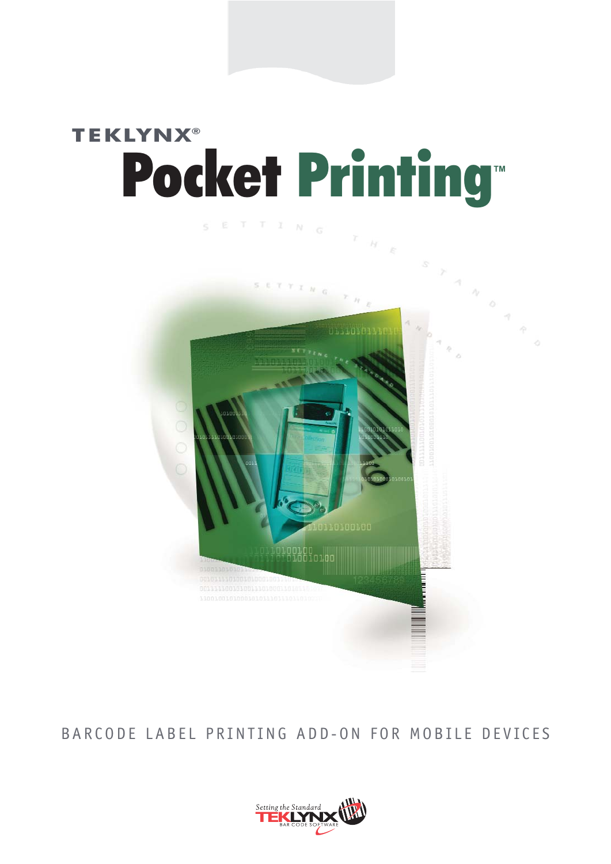## **TEKLYNX®** Pocket Printing<sup>®</sup>



BARCODE LABEL PRINTING ADD-ON FOR MOBILE DEVICES